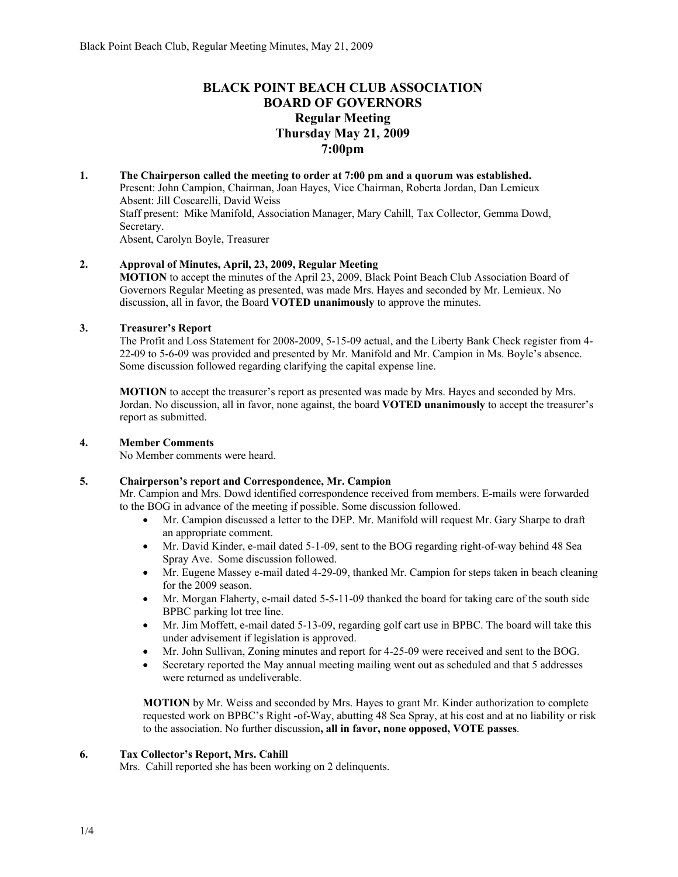## **BLACK POINT BEACH CLUB ASSOCIATION BOARD OF GOVERNORS Regular Meeting Thursday May 21, 2009 7:00pm**

**1. The Chairperson called the meeting to order at 7:00 pm and a quorum was established.**  Present: John Campion, Chairman, Joan Hayes, Vice Chairman, Roberta Jordan, Dan Lemieux Absent: Jill Coscarelli, David Weiss Staff present: Mike Manifold, Association Manager, Mary Cahill, Tax Collector, Gemma Dowd, Secretary. Absent, Carolyn Boyle, Treasurer

#### **2. Approval of Minutes, April, 23, 2009, Regular Meeting**

**MOTION** to accept the minutes of the April 23, 2009, Black Point Beach Club Association Board of Governors Regular Meeting as presented, was made Mrs. Hayes and seconded by Mr. Lemieux. No discussion, all in favor, the Board **VOTED unanimously** to approve the minutes.

#### **3. Treasurer's Report**

The Profit and Loss Statement for 2008-2009, 5-15-09 actual, and the Liberty Bank Check register from 4- 22-09 to 5-6-09 was provided and presented by Mr. Manifold and Mr. Campion in Ms. Boyle's absence. Some discussion followed regarding clarifying the capital expense line.

**MOTION** to accept the treasurer's report as presented was made by Mrs. Hayes and seconded by Mrs. Jordan. No discussion, all in favor, none against, the board **VOTED unanimously** to accept the treasurer's report as submitted.

#### **4. Member Comments**

No Member comments were heard.

#### **5. Chairperson's report and Correspondence, Mr. Campion**

Mr. Campion and Mrs. Dowd identified correspondence received from members. E-mails were forwarded to the BOG in advance of the meeting if possible. Some discussion followed.

- Mr. Campion discussed a letter to the DEP. Mr. Manifold will request Mr. Gary Sharpe to draft an appropriate comment.
- Mr. David Kinder, e-mail dated 5-1-09, sent to the BOG regarding right-of-way behind 48 Sea Spray Ave. Some discussion followed.
- Mr. Eugene Massey e-mail dated 4-29-09, thanked Mr. Campion for steps taken in beach cleaning for the 2009 season.
- Mr. Morgan Flaherty, e-mail dated 5-5-11-09 thanked the board for taking care of the south side BPBC parking lot tree line.
- Mr. Jim Moffett, e-mail dated 5-13-09, regarding golf cart use in BPBC. The board will take this under advisement if legislation is approved.
- Mr. John Sullivan, Zoning minutes and report for 4-25-09 were received and sent to the BOG.
- Secretary reported the May annual meeting mailing went out as scheduled and that 5 addresses were returned as undeliverable.

**MOTION** by Mr. Weiss and seconded by Mrs. Hayes to grant Mr. Kinder authorization to complete requested work on BPBC's Right -of-Way, abutting 48 Sea Spray, at his cost and at no liability or risk to the association. No further discussion**, all in favor, none opposed, VOTE passes**.

#### **6. Tax Collector's Report, Mrs. Cahill**

Mrs. Cahill reported she has been working on 2 delinquents.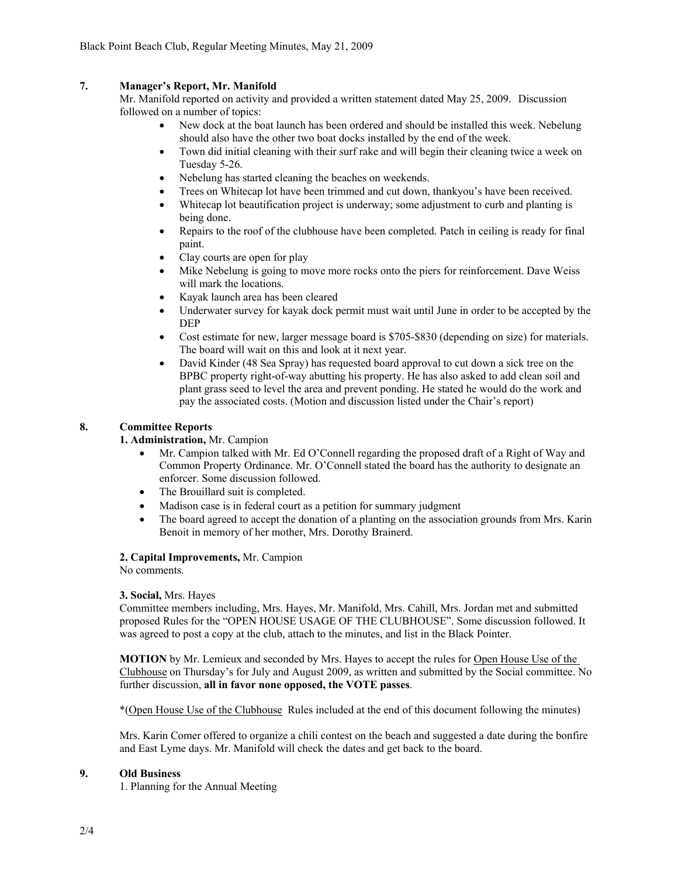### **7. Manager's Report, Mr. Manifold**

Mr. Manifold reported on activity and provided a written statement dated May 25, 2009. Discussion followed on a number of topics:

- New dock at the boat launch has been ordered and should be installed this week. Nebelung should also have the other two boat docks installed by the end of the week.
- Town did initial cleaning with their surf rake and will begin their cleaning twice a week on Tuesday 5-26.
- Nebelung has started cleaning the beaches on weekends.
- Trees on Whitecap lot have been trimmed and cut down, thankyou's have been received.
- Whitecap lot beautification project is underway; some adjustment to curb and planting is being done.
- Repairs to the roof of the clubhouse have been completed. Patch in ceiling is ready for final paint.
- Clay courts are open for play
- Mike Nebelung is going to move more rocks onto the piers for reinforcement. Dave Weiss will mark the locations.
- Kayak launch area has been cleared
- Underwater survey for kayak dock permit must wait until June in order to be accepted by the DEP
- Cost estimate for new, larger message board is \$705-\$830 (depending on size) for materials. The board will wait on this and look at it next year.
- David Kinder (48 Sea Spray) has requested board approval to cut down a sick tree on the BPBC property right-of-way abutting his property. He has also asked to add clean soil and plant grass seed to level the area and prevent ponding. He stated he would do the work and pay the associated costs. (Motion and discussion listed under the Chair's report)

#### **8. Committee Reports**

#### **1. Administration,** Mr. Campion

- Mr. Campion talked with Mr. Ed O'Connell regarding the proposed draft of a Right of Way and Common Property Ordinance. Mr. O'Connell stated the board has the authority to designate an enforcer. Some discussion followed.
- The Brouillard suit is completed.
- Madison case is in federal court as a petition for summary judgment
- The board agreed to accept the donation of a planting on the association grounds from Mrs. Karin Benoit in memory of her mother, Mrs. Dorothy Brainerd.

#### **2. Capital Improvements,** Mr. Campion

No comments.

#### **3. Social,** Mrs. Hayes

Committee members including, Mrs. Hayes, Mr. Manifold, Mrs. Cahill, Mrs. Jordan met and submitted proposed Rules for the "OPEN HOUSE USAGE OF THE CLUBHOUSE". Some discussion followed. It was agreed to post a copy at the club, attach to the minutes, and list in the Black Pointer.

**MOTION** by Mr. Lemieux and seconded by Mrs. Hayes to accept the rules for Open House Use of the Clubhouse on Thursday's for July and August 2009, as written and submitted by the Social committee. No further discussion, **all in favor none opposed, the VOTE passes**.

\*(Open House Use of the Clubhouse Rules included at the end of this document following the minutes)

Mrs. Karin Comer offered to organize a chili contest on the beach and suggested a date during the bonfire and East Lyme days. Mr. Manifold will check the dates and get back to the board.

#### **9. Old Business**

1. Planning for the Annual Meeting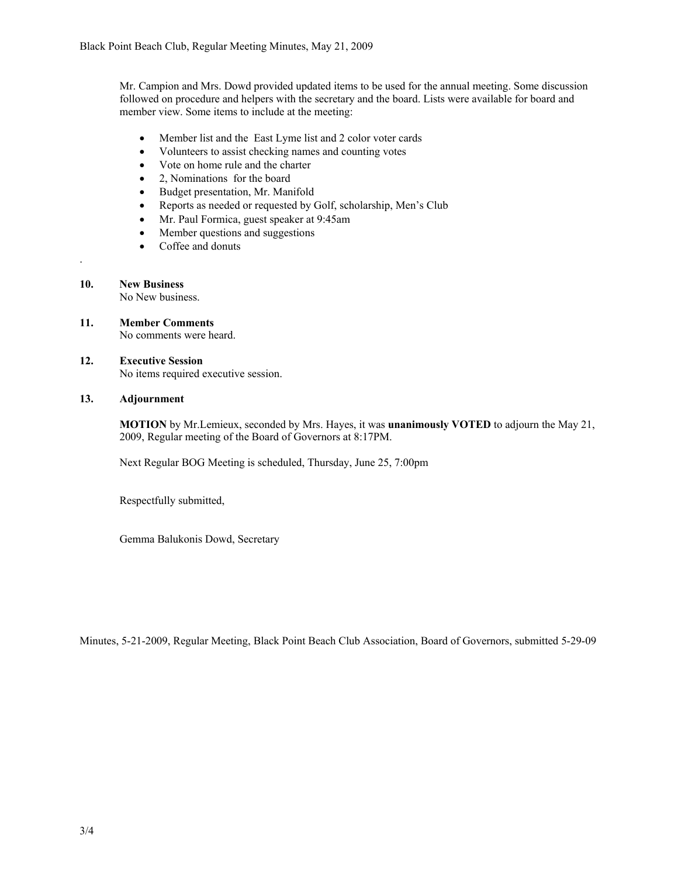Mr. Campion and Mrs. Dowd provided updated items to be used for the annual meeting. Some discussion followed on procedure and helpers with the secretary and the board. Lists were available for board and member view. Some items to include at the meeting:

- Member list and the East Lyme list and 2 color voter cards
- Volunteers to assist checking names and counting votes
- Vote on home rule and the charter
- 2, Nominations for the board
- Budget presentation, Mr. Manifold
- Reports as needed or requested by Golf, scholarship, Men's Club
- Mr. Paul Formica, guest speaker at 9:45am
- Member questions and suggestions
- Coffee and donuts
- **10. New Business**

.

No New business.

**11. Member Comments**  No comments were heard.

#### **12. Executive Session** No items required executive session.

#### **13. Adjournment**

**MOTION** by Mr.Lemieux, seconded by Mrs. Hayes, it was **unanimously VOTED** to adjourn the May 21, 2009, Regular meeting of the Board of Governors at 8:17PM.

Next Regular BOG Meeting is scheduled, Thursday, June 25, 7:00pm

Respectfully submitted,

Gemma Balukonis Dowd, Secretary

Minutes, 5-21-2009, Regular Meeting, Black Point Beach Club Association, Board of Governors, submitted 5-29-09